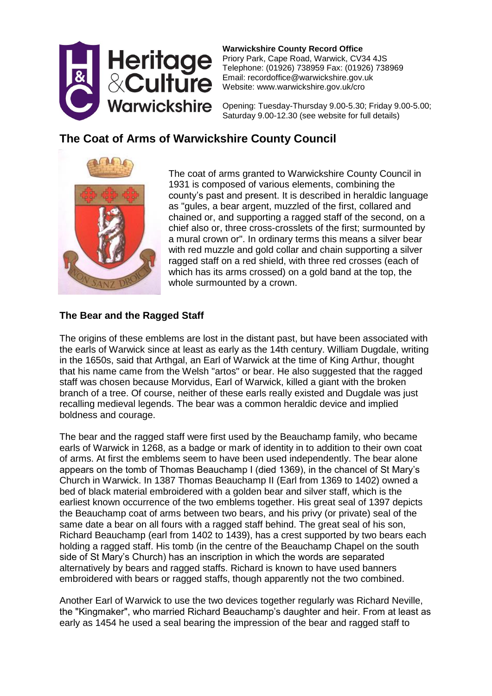

**Warwickshire County Record Office** Priory Park, Cape Road, Warwick, CV34 4JS Telephone: (01926) 738959 Fax: (01926) 738969 Email: recordoffice@warwickshire.gov.uk Website: www.warwickshire.gov.uk/cro

Opening: Tuesday-Thursday 9.00-5.30; Friday 9.00-5.00; Saturday 9.00-12.30 (see website for full details)

# **The Coat of Arms of Warwickshire County Council**



The coat of arms granted to Warwickshire County Council in 1931 is composed of various elements, combining the county's past and present. It is described in heraldic language as "gules, a bear argent, muzzled of the first, collared and chained or, and supporting a ragged staff of the second, on a chief also or, three cross-crosslets of the first; surmounted by a mural crown or". In ordinary terms this means a silver bear with red muzzle and gold collar and chain supporting a silver ragged staff on a red shield, with three red crosses (each of which has its arms crossed) on a gold band at the top, the whole surmounted by a crown.

## **The Bear and the Ragged Staff**

The origins of these emblems are lost in the distant past, but have been associated with the earls of Warwick since at least as early as the 14th century. William Dugdale, writing in the 1650s, said that Arthgal, an Earl of Warwick at the time of King Arthur, thought that his name came from the Welsh "artos" or bear. He also suggested that the ragged staff was chosen because Morvidus, Earl of Warwick, killed a giant with the broken branch of a tree. Of course, neither of these earls really existed and Dugdale was just recalling medieval legends. The bear was a common heraldic device and implied boldness and courage.

The bear and the ragged staff were first used by the Beauchamp family, who became earls of Warwick in 1268, as a badge or mark of identity in to addition to their own coat of arms. At first the emblems seem to have been used independently. The bear alone appears on the tomb of Thomas Beauchamp I (died 1369), in the chancel of St Mary's Church in Warwick. In 1387 Thomas Beauchamp II (Earl from 1369 to 1402) owned a bed of black material embroidered with a golden bear and silver staff, which is the earliest known occurrence of the two emblems together. His great seal of 1397 depicts the Beauchamp coat of arms between two bears, and his privy (or private) seal of the same date a bear on all fours with a ragged staff behind. The great seal of his son, Richard Beauchamp (earl from 1402 to 1439), has a crest supported by two bears each holding a ragged staff. His tomb (in the centre of the Beauchamp Chapel on the south side of St Mary's Church) has an inscription in which the words are separated alternatively by bears and ragged staffs. Richard is known to have used banners embroidered with bears or ragged staffs, though apparently not the two combined.

Another Earl of Warwick to use the two devices together regularly was Richard Neville, the "Kingmaker", who married Richard Beauchamp's daughter and heir. From at least as early as 1454 he used a seal bearing the impression of the bear and ragged staff to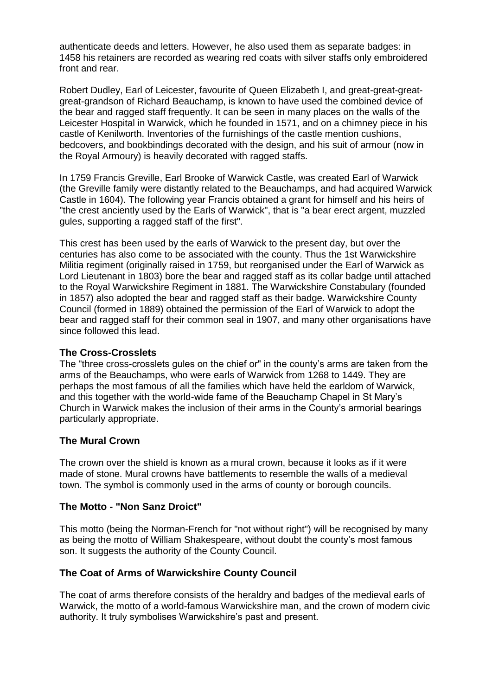authenticate deeds and letters. However, he also used them as separate badges: in 1458 his retainers are recorded as wearing red coats with silver staffs only embroidered front and rear.

Robert Dudley, Earl of Leicester, favourite of Queen Elizabeth I, and great-great-greatgreat-grandson of Richard Beauchamp, is known to have used the combined device of the bear and ragged staff frequently. It can be seen in many places on the walls of the Leicester Hospital in Warwick, which he founded in 1571, and on a chimney piece in his castle of Kenilworth. Inventories of the furnishings of the castle mention cushions, bedcovers, and bookbindings decorated with the design, and his suit of armour (now in the Royal Armoury) is heavily decorated with ragged staffs.

In 1759 Francis Greville, Earl Brooke of Warwick Castle, was created Earl of Warwick (the Greville family were distantly related to the Beauchamps, and had acquired Warwick Castle in 1604). The following year Francis obtained a grant for himself and his heirs of "the crest anciently used by the Earls of Warwick", that is "a bear erect argent, muzzled gules, supporting a ragged staff of the first".

This crest has been used by the earls of Warwick to the present day, but over the centuries has also come to be associated with the county. Thus the 1st Warwickshire Militia regiment (originally raised in 1759, but reorganised under the Earl of Warwick as Lord Lieutenant in 1803) bore the bear and ragged staff as its collar badge until attached to the Royal Warwickshire Regiment in 1881. The Warwickshire Constabulary (founded in 1857) also adopted the bear and ragged staff as their badge. Warwickshire County Council (formed in 1889) obtained the permission of the Earl of Warwick to adopt the bear and ragged staff for their common seal in 1907, and many other organisations have since followed this lead.

#### **The Cross-Crosslets**

The "three cross-crosslets gules on the chief or" in the county's arms are taken from the arms of the Beauchamps, who were earls of Warwick from 1268 to 1449. They are perhaps the most famous of all the families which have held the earldom of Warwick, and this together with the world-wide fame of the Beauchamp Chapel in St Mary's Church in Warwick makes the inclusion of their arms in the County's armorial bearings particularly appropriate.

#### **The Mural Crown**

The crown over the shield is known as a mural crown, because it looks as if it were made of stone. Mural crowns have battlements to resemble the walls of a medieval town. The symbol is commonly used in the arms of county or borough councils.

#### **The Motto - "Non Sanz Droict"**

This motto (being the Norman-French for "not without right") will be recognised by many as being the motto of William Shakespeare, without doubt the county's most famous son. It suggests the authority of the County Council.

#### **The Coat of Arms of Warwickshire County Council**

The coat of arms therefore consists of the heraldry and badges of the medieval earls of Warwick, the motto of a world-famous Warwickshire man, and the crown of modern civic authority. It truly symbolises Warwickshire's past and present.